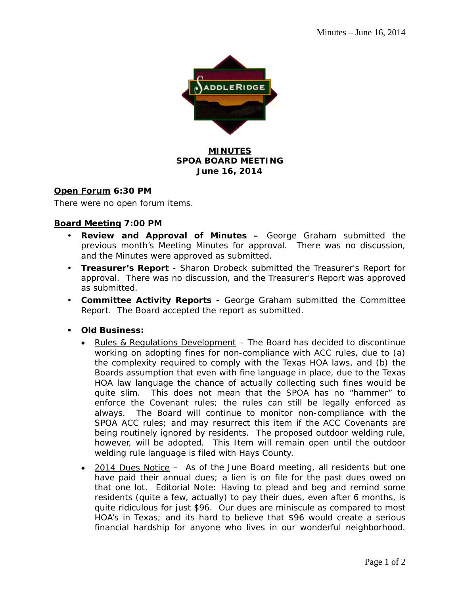

### **MINUTES SPOA BOARD MEETING June 16, 2014**

### **Open Forum 6:30 PM**

There were no open forum items.

### **Board Meeting 7:00 PM**

- **Review and Approval of Minutes –** George Graham submitted the previous month's Meeting Minutes for approval. There was no discussion, and the Minutes were approved as submitted.
- **Treasurer's Report** Sharon Drobeck submitted the Treasurer's Report for approval. There was no discussion, and the Treasurer's Report was approved as submitted.
- **Committee Activity Reports** George Graham submitted the Committee Report. The Board accepted the report as submitted.
- **Old Business:** 
	- Rules & Regulations Development The Board has decided to discontinue working on adopting fines for non-compliance with ACC rules, due to (a) the complexity required to comply with the Texas HOA laws, and (b) the Boards assumption that even with fine language in place, due to the Texas HOA law language the chance of actually collecting such fines would be quite slim. This does not mean that the SPOA has no "hammer" to enforce the Covenant rules; the rules can still be legally enforced as always. The Board will continue to monitor non-compliance with the SPOA ACC rules; and may resurrect this item if the ACC Covenants are being routinely ignored by residents. The proposed outdoor welding rule, however, will be adopted. This Item will remain open until the outdoor welding rule language is filed with Hays County.
	- 2014 Dues Notice As of the June Board meeting, all residents but one have paid their annual dues; a lien is on file for the past dues owed on that one lot. Editorial Note: Having to plead and beg and remind some residents (quite a few, actually) to pay their dues, even after 6 months, is quite ridiculous for just \$96. Our dues are miniscule as compared to most HOA's in Texas; and its hard to believe that \$96 would create a serious financial hardship for anyone who lives in our wonderful neighborhood.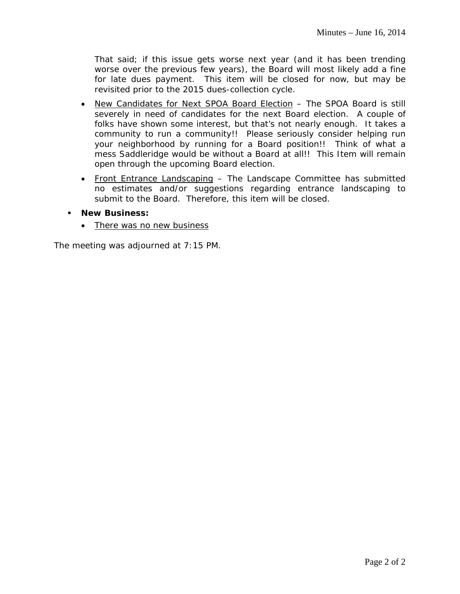That said; if this issue gets worse next year (and it has been trending worse over the previous few years), the Board will most likely add a fine for late dues payment. This item will be closed for now, but may be revisited prior to the 2015 dues-collection cycle.

- New Candidates for Next SPOA Board Election The SPOA Board is still severely in need of candidates for the next Board election. A couple of folks have shown some interest, but that's not nearly enough. It takes a community to run a community!! Please seriously consider helping run your neighborhood by running for a Board position!! Think of what a mess Saddleridge would be without a Board at all!! This Item will remain open through the upcoming Board election.
- Front Entrance Landscaping The Landscape Committee has submitted no estimates and/or suggestions regarding entrance landscaping to submit to the Board. Therefore, this item will be closed.
- **New Business:**
	- There was no new business

The meeting was adjourned at 7:15 PM.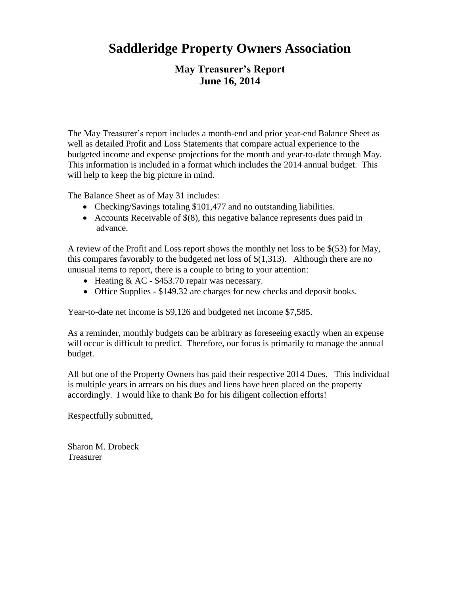# **Saddleridge Property Owners Association**

## **May Treasurer's Report June 16, 2014**

The May Treasurer's report includes a month-end and prior year-end Balance Sheet as well as detailed Profit and Loss Statements that compare actual experience to the budgeted income and expense projections for the month and year-to-date through May. This information is included in a format which includes the 2014 annual budget. This will help to keep the big picture in mind.

The Balance Sheet as of May 31 includes:

- Checking/Savings totaling \$101,477 and no outstanding liabilities.
- Accounts Receivable of \$(8), this negative balance represents dues paid in advance.

A review of the Profit and Loss report shows the monthly net loss to be \$(53) for May, this compares favorably to the budgeted net loss of  $\S(1,313)$ . Although there are no unusual items to report, there is a couple to bring to your attention:

- $\bullet$  Heating & AC \$453.70 repair was necessary.
- Office Supplies \$149.32 are charges for new checks and deposit books.

Year-to-date net income is \$9,126 and budgeted net income \$7,585.

As a reminder, monthly budgets can be arbitrary as foreseeing exactly when an expense will occur is difficult to predict. Therefore, our focus is primarily to manage the annual budget.

All but one of the Property Owners has paid their respective 2014 Dues. This individual is multiple years in arrears on his dues and liens have been placed on the property accordingly. I would like to thank Bo for his diligent collection efforts!

Respectfully submitted,

Sharon M. Drobeck Treasurer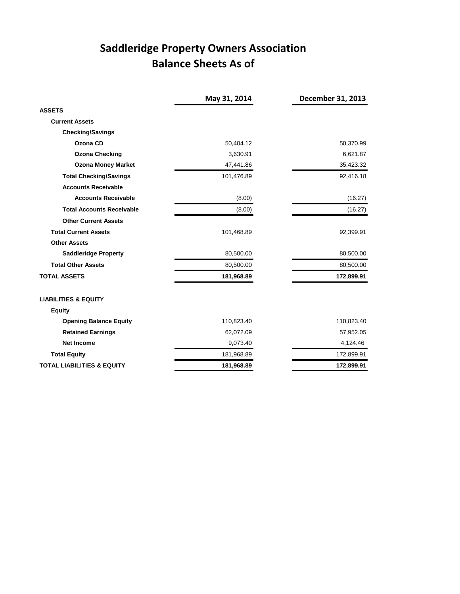# **Saddleridge Property Owners Association Balance Sheets As of**

|                                       | May 31, 2014 | December 31, 2013 |
|---------------------------------------|--------------|-------------------|
| <b>ASSETS</b>                         |              |                   |
| <b>Current Assets</b>                 |              |                   |
| <b>Checking/Savings</b>               |              |                   |
| Ozona CD                              | 50,404.12    | 50,370.99         |
| <b>Ozona Checking</b>                 | 3,630.91     | 6,621.87          |
| <b>Ozona Money Market</b>             | 47,441.86    | 35,423.32         |
| <b>Total Checking/Savings</b>         | 101,476.89   | 92,416.18         |
| <b>Accounts Receivable</b>            |              |                   |
| <b>Accounts Receivable</b>            | (8.00)       | (16.27)           |
| <b>Total Accounts Receivable</b>      | (8.00)       | (16.27)           |
| <b>Other Current Assets</b>           |              |                   |
| <b>Total Current Assets</b>           | 101,468.89   | 92,399.91         |
| <b>Other Assets</b>                   |              |                   |
| <b>Saddleridge Property</b>           | 80,500.00    | 80,500.00         |
| <b>Total Other Assets</b>             | 80,500.00    | 80,500.00         |
| <b>TOTAL ASSETS</b>                   | 181,968.89   | 172,899.91        |
| <b>LIABILITIES &amp; EQUITY</b>       |              |                   |
| <b>Equity</b>                         |              |                   |
| <b>Opening Balance Equity</b>         | 110,823.40   | 110,823.40        |
| <b>Retained Earnings</b>              | 62,072.09    | 57,952.05         |
| <b>Net Income</b>                     | 9,073.40     | 4,124.46          |
| <b>Total Equity</b>                   | 181,968.89   | 172,899.91        |
| <b>TOTAL LIABILITIES &amp; EQUITY</b> | 181,968.89   | 172,899.91        |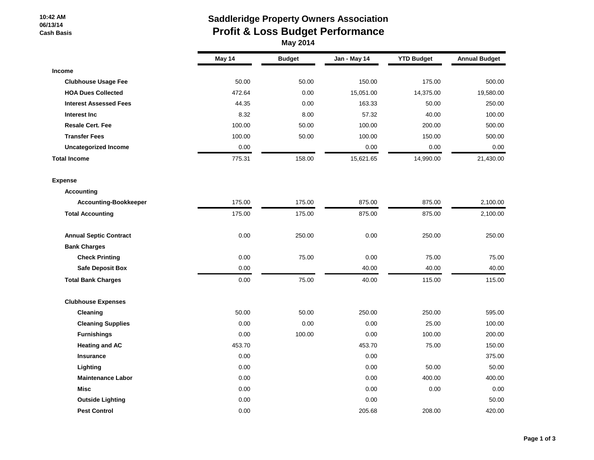#### **10:42 AM 06/13/14 Cash Basis**

# **Saddleridge Property Owners Association Profit & Loss Budget Performance**

 **May 2014**

|                               | May 14 | <b>Budget</b> | Jan - May 14 | <b>YTD Budget</b> | <b>Annual Budget</b> |
|-------------------------------|--------|---------------|--------------|-------------------|----------------------|
| <b>Income</b>                 |        |               |              |                   |                      |
| <b>Clubhouse Usage Fee</b>    | 50.00  | 50.00         | 150.00       | 175.00            | 500.00               |
| <b>HOA Dues Collected</b>     | 472.64 | 0.00          | 15,051.00    | 14,375.00         | 19,580.00            |
| <b>Interest Assessed Fees</b> | 44.35  | 0.00          | 163.33       | 50.00             | 250.00               |
| <b>Interest Inc</b>           | 8.32   | 8.00          | 57.32        | 40.00             | 100.00               |
| <b>Resale Cert. Fee</b>       | 100.00 | 50.00         | 100.00       | 200.00            | 500.00               |
| <b>Transfer Fees</b>          | 100.00 | 50.00         | 100.00       | 150.00            | 500.00               |
| <b>Uncategorized Income</b>   | 0.00   |               | 0.00         | 0.00              | 0.00                 |
| <b>Total Income</b>           | 775.31 | 158.00        | 15,621.65    | 14,990.00         | 21,430.00            |
| <b>Expense</b>                |        |               |              |                   |                      |
| <b>Accounting</b>             |        |               |              |                   |                      |
| <b>Accounting-Bookkeeper</b>  | 175.00 | 175.00        | 875.00       | 875.00            | 2,100.00             |
| <b>Total Accounting</b>       | 175.00 | 175.00        | 875.00       | 875.00            | 2,100.00             |
| <b>Annual Septic Contract</b> | 0.00   | 250.00        | 0.00         | 250.00            | 250.00               |
| <b>Bank Charges</b>           |        |               |              |                   |                      |
| <b>Check Printing</b>         | 0.00   | 75.00         | 0.00         | 75.00             | 75.00                |
| <b>Safe Deposit Box</b>       | 0.00   |               | 40.00        | 40.00             | 40.00                |
| <b>Total Bank Charges</b>     | 0.00   | 75.00         | 40.00        | 115.00            | 115.00               |
| <b>Clubhouse Expenses</b>     |        |               |              |                   |                      |
| Cleaning                      | 50.00  | 50.00         | 250.00       | 250.00            | 595.00               |
| <b>Cleaning Supplies</b>      | 0.00   | 0.00          | 0.00         | 25.00             | 100.00               |
| <b>Furnishings</b>            | 0.00   | 100.00        | 0.00         | 100.00            | 200.00               |
| <b>Heating and AC</b>         | 453.70 |               | 453.70       | 75.00             | 150.00               |
| <b>Insurance</b>              | 0.00   |               | 0.00         |                   | 375.00               |
| Lighting                      | 0.00   |               | 0.00         | 50.00             | 50.00                |
| <b>Maintenance Labor</b>      | 0.00   |               | 0.00         | 400.00            | 400.00               |
| <b>Misc</b>                   | 0.00   |               | 0.00         | 0.00              | 0.00                 |
| <b>Outside Lighting</b>       | 0.00   |               | 0.00         |                   | 50.00                |
| <b>Pest Control</b>           | 0.00   |               | 205.68       | 208.00            | 420.00               |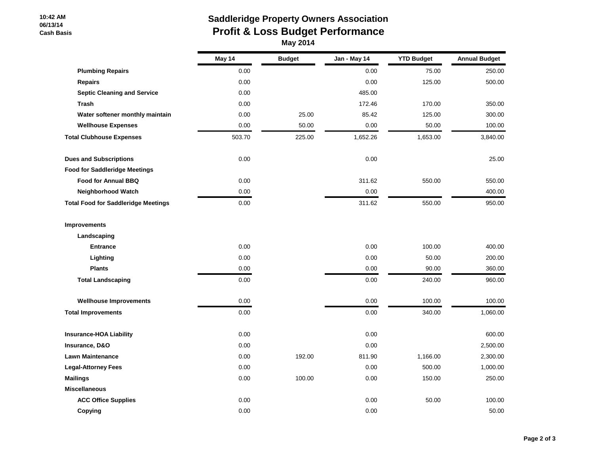#### **10:42 AM 06/13/14 Cash Basis**

# **Saddleridge Property Owners Association Profit & Loss Budget Performance**

| <b>May 2014</b> |  |
|-----------------|--|
|                 |  |

|                                            | May 14 | <b>Budget</b> | Jan - May 14 | <b>YTD Budget</b> | <b>Annual Budget</b> |
|--------------------------------------------|--------|---------------|--------------|-------------------|----------------------|
| <b>Plumbing Repairs</b>                    | 0.00   |               | 0.00         | 75.00             | 250.00               |
| <b>Repairs</b>                             | 0.00   |               | 0.00         | 125.00            | 500.00               |
| <b>Septic Cleaning and Service</b>         | 0.00   |               | 485.00       |                   |                      |
| Trash                                      | 0.00   |               | 172.46       | 170.00            | 350.00               |
| Water softener monthly maintain            | 0.00   | 25.00         | 85.42        | 125.00            | 300.00               |
| <b>Wellhouse Expenses</b>                  | 0.00   | 50.00         | 0.00         | 50.00             | 100.00               |
| <b>Total Clubhouse Expenses</b>            | 503.70 | 225.00        | 1,652.26     | 1,653.00          | 3,840.00             |
| <b>Dues and Subscriptions</b>              | 0.00   |               | 0.00         |                   | 25.00                |
| <b>Food for Saddleridge Meetings</b>       |        |               |              |                   |                      |
| <b>Food for Annual BBQ</b>                 | 0.00   |               | 311.62       | 550.00            | 550.00               |
| Neighborhood Watch                         | 0.00   |               | 0.00         |                   | 400.00               |
| <b>Total Food for Saddleridge Meetings</b> | 0.00   |               | 311.62       | 550.00            | 950.00               |
| <b>Improvements</b>                        |        |               |              |                   |                      |
| Landscaping                                |        |               |              |                   |                      |
| <b>Entrance</b>                            | 0.00   |               | 0.00         | 100.00            | 400.00               |
| Lighting                                   | 0.00   |               | 0.00         | 50.00             | 200.00               |
| <b>Plants</b>                              | 0.00   |               | 0.00         | 90.00             | 360.00               |
| <b>Total Landscaping</b>                   | 0.00   |               | 0.00         | 240.00            | 960.00               |
| <b>Wellhouse Improvements</b>              | 0.00   |               | 0.00         | 100.00            | 100.00               |
| <b>Total Improvements</b>                  | 0.00   |               | 0.00         | 340.00            | 1,060.00             |
| <b>Insurance-HOA Liability</b>             | 0.00   |               | 0.00         |                   | 600.00               |
| Insurance, D&O                             | 0.00   |               | 0.00         |                   | 2,500.00             |
| <b>Lawn Maintenance</b>                    | 0.00   | 192.00        | 811.90       | 1,166.00          | 2,300.00             |
| <b>Legal-Attorney Fees</b>                 | 0.00   |               | 0.00         | 500.00            | 1,000.00             |
| <b>Mailings</b>                            | 0.00   | 100.00        | 0.00         | 150.00            | 250.00               |
| <b>Miscellaneous</b>                       |        |               |              |                   |                      |
| <b>ACC Office Supplies</b>                 | 0.00   |               | 0.00         | 50.00             | 100.00               |
| Copying                                    | 0.00   |               | 0.00         |                   | 50.00                |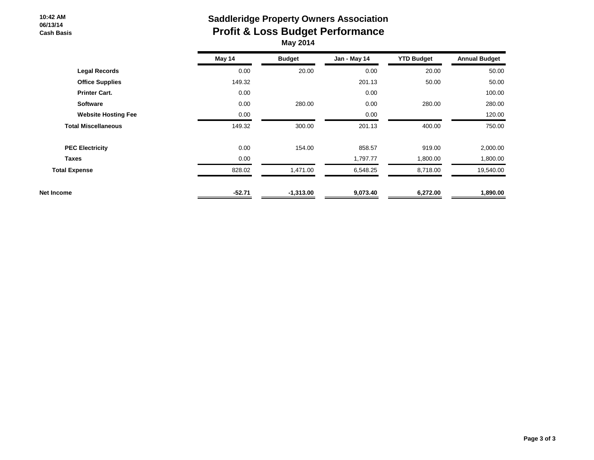#### **10:42 AM 06/13/14 Cash Basis**

## **Saddleridge Property Owners Association Profit & Loss Budget Performance May 2014**

|                            | May 14   | <b>Budget</b> | Jan - May 14 | <b>YTD Budget</b> | <b>Annual Budget</b> |
|----------------------------|----------|---------------|--------------|-------------------|----------------------|
| <b>Legal Records</b>       | 0.00     | 20.00         | 0.00         | 20.00             | 50.00                |
| <b>Office Supplies</b>     | 149.32   |               | 201.13       | 50.00             | 50.00                |
| <b>Printer Cart.</b>       | 0.00     |               | 0.00         |                   | 100.00               |
| <b>Software</b>            | 0.00     | 280.00        | 0.00         | 280.00            | 280.00               |
| <b>Website Hosting Fee</b> | 0.00     |               | 0.00         |                   | 120.00               |
| <b>Total Miscellaneous</b> | 149.32   | 300.00        | 201.13       | 400.00            | 750.00               |
| <b>PEC Electricity</b>     | 0.00     | 154.00        | 858.57       | 919.00            | 2,000.00             |
| <b>Taxes</b>               | 0.00     |               | 1.797.77     | 1,800.00          | 1,800.00             |
| <b>Total Expense</b>       | 828.02   | 1,471.00      | 6,548.25     | 8,718.00          | 19,540.00            |
| Net Income                 | $-52.71$ | $-1,313.00$   | 9,073.40     | 6,272.00          | 1,890.00             |